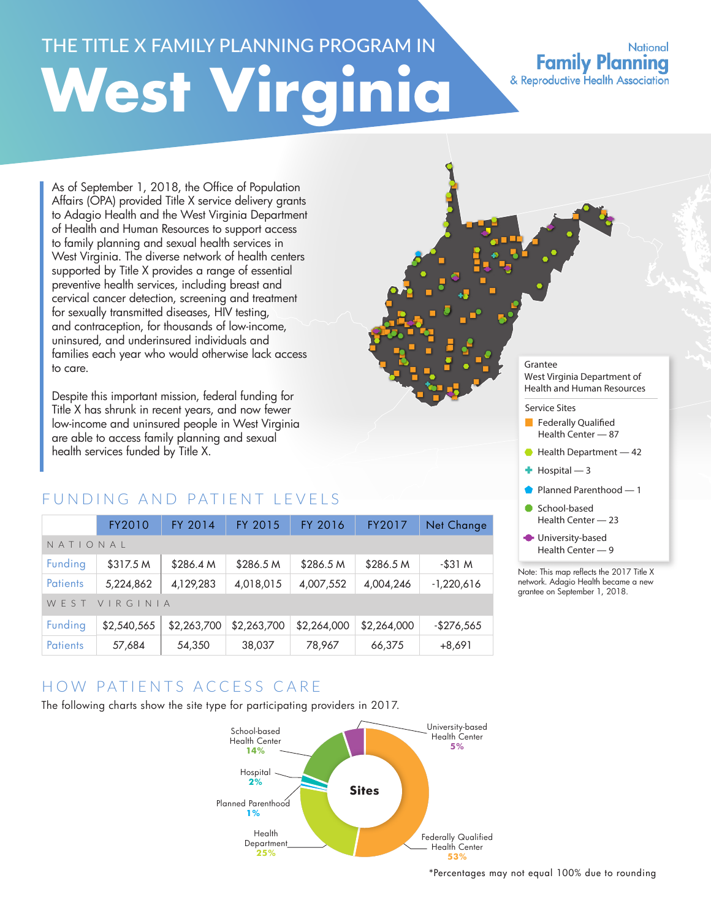# THE TITLE X FAMILY PLANNING PROGRAM IN **West Virginia**

### **National Family Planning** & Reproductive Health Association

As of September 1, 2018, the Office of Population Affairs (OPA) provided Title X service delivery grants to Adagio Health and the West Virginia Department of Health and Human Resources to support access to family planning and sexual health services in West Virginia. The diverse network of health centers supported by Title X provides a range of essential preventive health services, including breast and cervical cancer detection, screening and treatment for sexually transmitted diseases, HIV testing, and contraception, for thousands of low-income, uninsured, and underinsured individuals and families each year who would otherwise lack access to care.

Despite this important mission, federal funding for Title X has shrunk in recent years, and now fewer low-income and uninsured people in West Virginia are able to access family planning and sexual health services funded by Title X.

# FUNDING AND PATIENT LEVELS

|                  | FY2010      | FY 2014     | FY 2015     | FY 2016     | FY2017      | Net Change   |  |
|------------------|-------------|-------------|-------------|-------------|-------------|--------------|--|
| NATIONAL         |             |             |             |             |             |              |  |
| Funding          | \$317.5 M   | \$286.4 M   | \$286.5 M   | \$286.5 M   | \$286.5 M   | $-$ \$31 M   |  |
| <b>Patients</b>  | 5,224,862   | 4,129,283   | 4,018,015   | 4,007,552   | 4,004,246   | $-1,220,616$ |  |
| WFST<br>VIRGINIA |             |             |             |             |             |              |  |
| Funding          | \$2,540,565 | \$2,263,700 | \$2,263,700 | \$2,264,000 | \$2,264,000 | $-$276,565$  |  |
| <b>Patients</b>  | 57,684      | 54,350      | 38,037      | 78,967      | 66,375      | $+8,691$     |  |

# HOW PATIENTS ACCESS CARE

The following charts show the site type for participating providers in 2017.



#### Grantee West Virginia Department of Health and Human Resources

#### Service Sites

- Federally Qualified Health Center — 87
- Health Department 42
- $+$  Hospital  $-3$
- Planned Parenthood 1
- School-based Health Center — 23
- **University-based** Health Center — 9

Note: This map reflects the 2017 Title X network. Adagio Health became a new grantee on September 1, 2018.